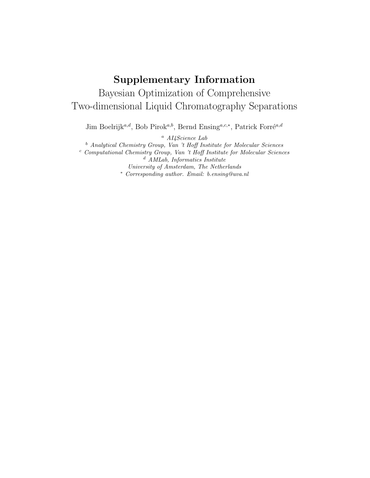## Supplementary Information Bayesian Optimization of Comprehensive Two-dimensional Liquid Chromatography Separations

Jim Boelrijk<sup>a,d</sup>, Bob Pirok<sup>a,b</sup>, Bernd Ensing<sup>a,c,∗</sup>, Patrick Forré<sup>a,d</sup>

<sup>a</sup> AI4Science Lab

<sup>b</sup> Analytical Chemistry Group, Van 't Hoff Institute for Molecular Sciences

<sup>c</sup> Computational Chemistry Group, Van 't Hoff Institute for Molecular Sciences <sup>d</sup> AMLab, Informatics Institute

University of Amsterdam, The Netherlands

<sup>∗</sup> Corresponding author. Email: b.ensing@uva.nl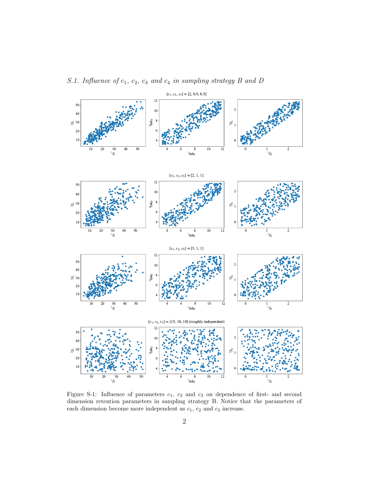

S.1. Influence of  $c_1$ ,  $c_2$ ,  $c_3$  and  $c_4$  in sampling strategy B and D

Figure S-1: Influence of parameters  $c_1$ ,  $c_2$  and  $c_3$  on dependence of first- and second dimension retention parameters in sampling strategy B. Notice that the parameters of each dimension become more independent as  $c_1$ ,  $c_2$  and  $c_3$  increase.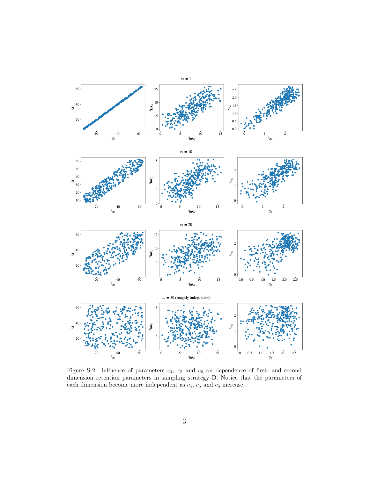

Figure S-2: Influence of parameters  $c_4$ ,  $c_5$  and  $c_6$  on dependence of first- and second dimension retention parameters in sampling strategy D. Notice that the parameters of each dimension become more independent as  $c_4$ ,  $c_5$  and  $c_6$  increase.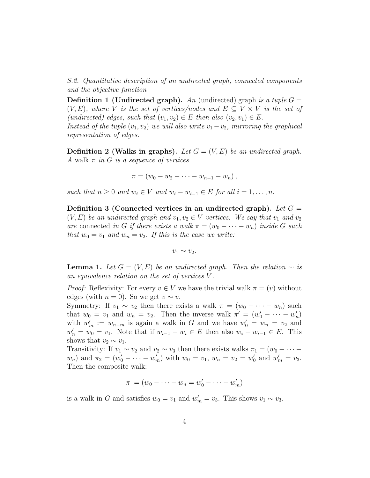S.2. Quantitative description of an undirected graph, connected components and the objective function

**Definition 1 (Undirected graph).** An (undirected) graph is a tuple  $G =$  $(V, E)$ , where V is the set of vertices/nodes and  $E \subseteq V \times V$  is the set of (undirected) edges, such that  $(v_1, v_2) \in E$  then also  $(v_2, v_1) \in E$ . Instead of the tuple  $(v_1, v_2)$  we will also write  $v_1 - v_2$ , mirroring the graphical

**Definition 2 (Walks in graphs).** Let  $G = (V, E)$  be an undirected graph. A walk  $\pi$  in G is a sequence of vertices

$$
\pi = (w_0 - w_2 - \cdots - w_{n-1} - w_n),
$$

such that  $n > 0$  and  $w_i \in V$  and  $w_i - w_{i-1} \in E$  for all  $i = 1, \ldots, n$ .

representation of edges.

Definition 3 (Connected vertices in an undirected graph). Let  $G =$  $(V, E)$  be an undirected graph and  $v_1, v_2 \in V$  vertices. We say that  $v_1$  and  $v_2$ are connected in G if there exists a walk  $\pi = (w_0 - \cdots - w_n)$  inside G such that  $w_0 = v_1$  and  $w_n = v_2$ . If this is the case we write:

 $v_1 \sim v_2$ .

**Lemma 1.** Let  $G = (V, E)$  be an undirected graph. Then the relation  $\sim$  is an equivalence relation on the set of vertices V .

*Proof:* Reflexivity: For every  $v \in V$  we have the trivial walk  $\pi = (v)$  without edges (with  $n = 0$ ). So we get  $v \sim v$ .

Symmetry: If  $v_1 \sim v_2$  then there exists a walk  $\pi = (w_0 - \cdots - w_n)$  such that  $w_0 = v_1$  and  $w_n = v_2$ . Then the inverse walk  $\pi' = (w'_0 - \cdots - w'_n)$ with  $w'_m := w_{n-m}$  is again a walk in G and we have  $w'_0 = w_n = v_2$  and  $w'_n = w_0 = v_1$ . Note that if  $w_{i-1} - w_i \in E$  then also  $w_i - w_{i-1} \in E$ . This shows that  $v_2 \sim v_1$ .

Transitivity: If  $v_1 \sim v_2$  and  $v_2 \sim v_3$  then there exists walks  $\pi_1 = (w_0 - \cdots$  $w_n$ ) and  $\pi_2 = (w'_0 - \cdots - w'_m)$  with  $w_0 = v_1$ ,  $w_n = v_2 = w'_0$  and  $w'_m = v_3$ . Then the composite walk:

$$
\pi := (w_0 - \cdots - w_n = w'_0 - \cdots - w'_m)
$$

is a walk in G and satisfies  $w_0 = v_1$  and  $w'_m = v_3$ . This shows  $v_1 \sim v_3$ .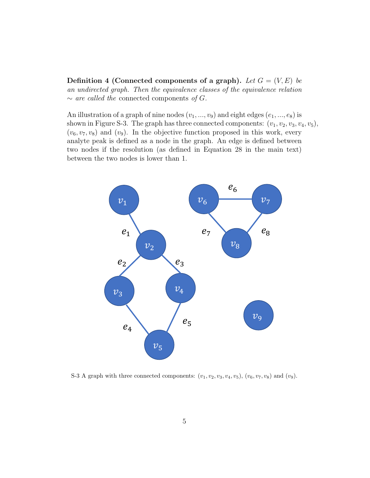**Definition 4 (Connected components of a graph).** Let  $G = (V, E)$  be an undirected graph. Then the equivalence classes of the equivalence relation  $\sim$  are called the connected components of G.

An illustration of a graph of nine nodes  $(v_1, ..., v_9)$  and eight edges  $(e_1, ..., e_8)$  is shown in Figure S-3. The graph has three connected components:  $(v_1, v_2, v_3, v_4, v_5)$ ,  $(v_6, v_7, v_8)$  and  $(v_9)$ . In the objective function proposed in this work, every analyte peak is defined as a node in the graph. An edge is defined between two nodes if the resolution (as defined in Equation 28 in the main text) between the two nodes is lower than 1.



S-3 A graph with three connected components:  $(v_1, v_2, v_3, v_4, v_5)$ ,  $(v_6, v_7, v_8)$  and  $(v_9)$ .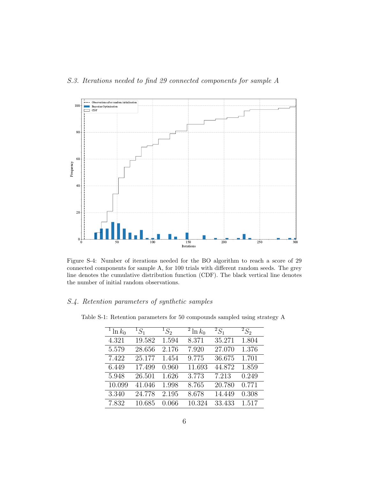

Figure S-4: Number of iterations needed for the BO algorithm to reach a score of 29 connected components for sample A, for 100 trials with different random seeds. The grey line denotes the cumulative distribution function (CDF). The black vertical line denotes the number of initial random observations.

## S.4. Retention parameters of synthetic samples

| <sup>1</sup> ln $k_0$ | ${}^1S_1$ | ${}^1S_2$ | <sup>2</sup> ln $k_0$ | $^{2}S_{1}$ | ${}^2S_2$ |
|-----------------------|-----------|-----------|-----------------------|-------------|-----------|
| 4.321                 | 19.582    | 1.594     | 8.371                 | 35.271      | 1.804     |
| 5.579                 | 28.656    | 2.176     | 7.920                 | 27.070      | 1.376     |
| 7.422                 | 25.177    | 1.454     | 9.775                 | 36.675      | 1.701     |
| 6.449                 | 17.499    | 0.960     | 11.693                | 44.872      | 1.859     |
| 5.948                 | 26.501    | 1.626     | 3.773                 | 7.213       | 0.249     |
| 10.099                | 41.046    | 1.998     | 8.765                 | 20.780      | 0.771     |
| 3.340                 | 24.778    | 2.195     | 8.678                 | 14.449      | 0.308     |
| 7.832                 | 10.685    | 0.066     | 10.324                | 33.433      | 1.517     |

Table S-1: Retention parameters for 50 compounds sampled using strategy A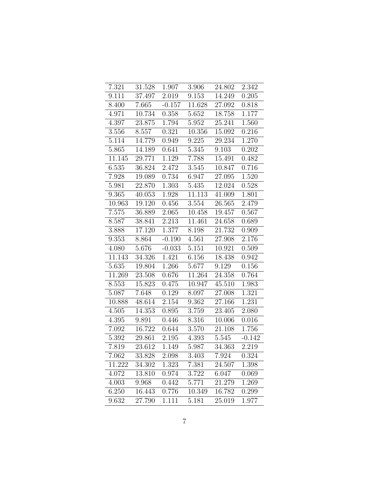| 7.321  | 31.528 | 1.907    | 3.906               | 24.802 | 2.342    |
|--------|--------|----------|---------------------|--------|----------|
| 9.111  | 37.497 | 2.019    | 9.153               | 14.249 | 0.205    |
| 8.400  | 7.665  | $-0.157$ | $\overline{11.628}$ | 27.092 | 0.818    |
| 4.971  | 10.734 | 0.358    | 5.652               | 18.758 | 1.177    |
| 4.397  | 23.875 | 1.794    | 5.952               | 25.241 | 1.560    |
| 3.556  | 8.557  | 0.321    | 10.356              | 15.092 | 0.216    |
| 5.114  | 14.779 | 0.949    | 9.225               | 29.234 | 1.270    |
| 5.865  | 14.189 | 0.641    | $\bar{5}.345$       | 9.103  | 0.202    |
| 11.145 | 29.771 | 1.129    | 7.788               | 15.491 | 0.482    |
| 6.535  | 36.824 | 2.472    | 3.545               | 10.847 | 0.716    |
| 7.928  | 19.089 | 0.734    | 6.947               | 27.095 | 1.520    |
| 5.981  | 22.870 | 1.303    | 5.435               | 12.024 | 0.528    |
| 9.365  | 40.053 | 1.928    | 11.113              | 41.009 | 1.801    |
| 10.963 | 19.120 | 0.456    | 3.554               | 26.565 | 2.479    |
| 7.575  | 36.889 | 2.065    | 10.458              | 19.457 | 0.567    |
| 8.587  | 38.841 | 2.213    | 11.461              | 24.658 | 0.689    |
| 3.888  | 17.120 | 1.377    | 8.198               | 21.732 | 0.909    |
| 9.353  | 8.864  | $-0.190$ | 4.561               | 27.908 | 2.176    |
| 4.080  | 5.676  | $-0.033$ | 5.151               | 10.921 | 0.509    |
| 11.143 | 34.326 | 1.421    | 6.156               | 18.438 | 0.942    |
| 5.635  | 19.804 | 1.266    | 5.677               | 9.129  | 0.156    |
| 11.269 | 23.508 | 0.676    | $\bar{1}1.264$      | 24.358 | 0.764    |
| 8.553  | 15.823 | 0.475    | 10.947              | 45.510 | 1.983    |
| 5.087  | 7.648  | 0.129    | 8.097               | 27.008 | 1.321    |
| 10.888 | 48.614 | 2.154    | 9.362               | 27.166 | 1.231    |
| 4.505  | 14.353 | 0.895    | 3.759               | 23.405 | 2.080    |
| 4.395  | 9.891  | 0.446    | 8.316               | 10.006 | 0.016    |
| 7.092  | 16.722 | 0.644    | 3.570               | 21.108 | 1.756    |
| 5.392  | 29.861 | 2.195    | 4.393               | 5.545  | $-0.142$ |
| 7.819  | 23.612 | 1.149    | 5.987               | 34.363 | 2.219    |
| 7.062  | 33.828 | 2.098    | 3.403               | 7.924  | 0.324    |
| 11.222 | 34.302 | 1.323    | 7.381               | 24.507 | 1.398    |
| 4.072  | 13.810 | 0.974    | $3.722\,$           | 6.047  | 0.069    |
| 4.003  | 9.968  | 0.442    | 5.771               | 21.279 | 1.269    |
| 6.250  | 16.443 | 0.776    | 10.349              | 16.782 | 0.299    |
| 9.632  | 27.790 | 1.111    | 5.181               | 25.019 | 1.977    |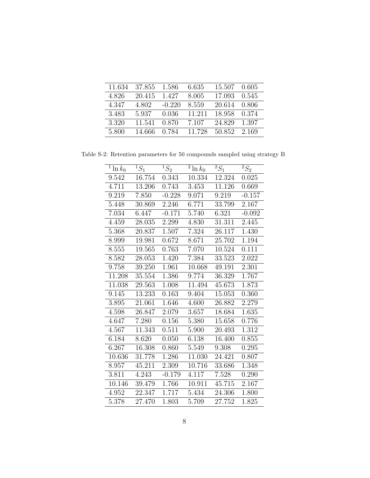| 11.634 | 37.855 | 1.586    | 6.635  | 15.507 | - 0.605 |
|--------|--------|----------|--------|--------|---------|
| 4.826  | 20.415 | 1.427    | 8.005  | 17.093 | 0.545   |
| 4.347  | 4.802  | $-0.220$ | 8.559  | 20.614 | 0.806   |
| 3.483  | 5.937  | 0.036    | 11.211 | 18.958 | 0.374   |
| 3.320  | 11.541 | 0.870    | 7.107  | 24.829 | 1.397   |
| 5.800  | 14.666 | 0.784    | 11.728 | 50.852 | 2.169   |

Table S-2: Retention parameters for 50 compounds sampled using strategy B

| $\overline{1\ln k_0}$ | $\overline{^1S_1}$ | $\overline{^1S_2}$ | $\overline{2 \ln k_0}$ | $\overline{^2S_1}$  | $2S_2$   |
|-----------------------|--------------------|--------------------|------------------------|---------------------|----------|
| 9.542                 | 16.754             | 0.343              | 10.334                 | 12.324              | 0.025    |
| 4.711                 | 13.206             | 0.743              | 3.453                  | 11.126              | 0.669    |
| 9.219                 | 7.850              | $-0.228$           | 9.071                  | 9.219               | $-0.157$ |
| 5.448                 | 30.869             | 2.246              | 6.771                  | 33.799              | 2.167    |
| 7.034                 | 6.447              | $-0.171$           | 5.740                  | 6.321               | $-0.092$ |
| 4.459                 | 28.035             | 2.299              | 4.830                  | 31.311              | 2.445    |
| 5.368                 | 20.837             | 1.507              | 7.324                  | 26.117              | 1.430    |
| 8.999                 | 19.981             | 0.672              | 8.671                  | 25.702              | 1.194    |
| 8.555                 | 19.565             | 0.763              | 7.070                  | 10.524              | 0.111    |
| 8.582                 | 28.053             | 1.420              | 7.384                  | 33.523              | 2.022    |
| 9.758                 | 39.250             | 1.961              | 10.668                 | 49.191              | 2.301    |
| 11.208                | 35.554             | 1.386              | 9.774                  | 36.329              | 1.767    |
| 11.038                | 29.563             | 1.008              | 11.494                 | 45.673              | 1.873    |
| 9.145                 | 13.233             | 0.163              | 9.404                  | 15.053              | 0.360    |
| 3.895                 | 21.061             | 1.646              | 4.600                  | 26.882              | 2.279    |
| 4.598                 | 26.847             | 2.079              | 3.657                  | 18.684              | 1.635    |
| 4.647                 | 7.280              | 0.156              | 5.380                  | 15.658              | 0.776    |
| 4.567                 | 11.343             | 0.511              | 5.900                  | 20.493              | 1.312    |
| 6.184                 | 8.620              | 0.050              | 6.138                  | 16.400              | 0.855    |
| 6.267                 | 16.308             | 0.860              | 5.549                  | 9.308               | 0.295    |
| 10.636                | 31.778             | 1.286              | 11.030                 | 24.421              | 0.807    |
| 8.957                 | 45.211             | 2.309              | 10.716                 | 33.686              | 1.348    |
| 3.811                 | 4.243              | $-0.179$           | 4.117                  | 7.528               | 0.290    |
| 10.146                | 39.479             | 1.766              | 10.911                 | $\overline{45.715}$ | 2.167    |
| 4.952                 | 22.347             | 1.717              | 5.434                  | 24.306              | 1.800    |
| 5.378                 | 27.470             | 1.803              | 5.709                  | 27.752              | 1.825    |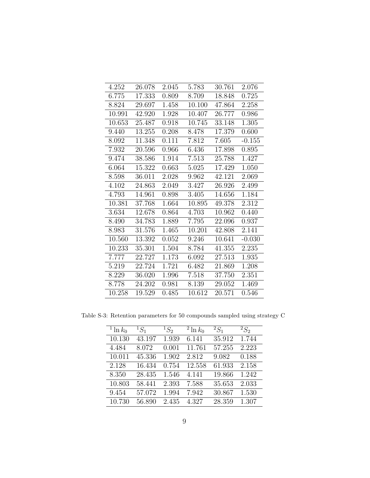| 4.252  | 26.078 | 2.045 | 5.783  | 30.761 | 2.076    |
|--------|--------|-------|--------|--------|----------|
| 6.775  | 17.333 | 0.809 | 8.709  | 18.848 | 0.725    |
| 8.824  | 29.697 | 1.458 | 10.100 | 47.864 | 2.258    |
| 10.991 | 42.920 | 1.928 | 10.407 | 26.777 | 0.986    |
| 10.653 | 25.487 | 0.918 | 10.745 | 33.148 | 1.305    |
| 9.440  | 13.255 | 0.208 | 8.478  | 17.379 | 0.600    |
| 8.092  | 11.348 | 0.111 | 7.812  | 7.605  | $-0.155$ |
| 7.932  | 20.596 | 0.966 | 6.436  | 17.898 | 0.895    |
| 9.474  | 38.586 | 1.914 | 7.513  | 25.788 | 1.427    |
| 6.064  | 15.322 | 0.663 | 5.025  | 17.429 | 1.050    |
| 8.598  | 36.011 | 2.028 | 9.962  | 42.121 | 2.069    |
| 4.102  | 24.863 | 2.049 | 3.427  | 26.926 | 2.499    |
| 4.793  | 14.961 | 0.898 | 3.405  | 14.656 | 1.184    |
| 10.381 | 37.768 | 1.664 | 10.895 | 49.378 | 2.312    |
| 3.634  | 12.678 | 0.864 | 4.703  | 10.962 | 0.440    |
| 8.490  | 34.783 | 1.889 | 7.795  | 22.096 | 0.937    |
| 8.983  | 31.576 | 1.465 | 10.201 | 42.808 | 2.141    |
| 10.560 | 13.392 | 0.052 | 9.246  | 10.641 | $-0.030$ |
| 10.233 | 35.301 | 1.504 | 8.784  | 41.355 | 2.235    |
| 7.777  | 22.727 | 1.173 | 6.092  | 27.513 | 1.935    |
| 5.219  | 22.724 | 1.721 | 6.482  | 21.869 | 1.208    |
| 8.229  | 36.020 | 1.996 | 7.518  | 37.750 | 2.351    |
| 8.778  | 24.202 | 0.981 | 8.139  | 29.052 | 1.469    |
| 10.258 | 19.529 | 0.485 | 10.612 | 20.571 | 0.546    |

Table S-3: Retention parameters for 50 compounds sampled using strategy C

| <sup>1</sup> ln $k_0$ | ${}^1S_1$ | ${}^1S_2$ | $\frac{1}{2} \ln k_0$ | $^{2}S_{1}$ | ${}^2S_2$ |
|-----------------------|-----------|-----------|-----------------------|-------------|-----------|
| 10.130                | 43.197    | 1.939     | 6.141                 | 35.912      | 1.744     |
| 4.484                 | 8.072     | 0.001     | 11.761                | 57.255      | 2.223     |
| 10.011                | 45.336    | 1.902     | 2.812                 | 9.082       | 0.188     |
| 2.128                 | 16.434    | 0.754     | 12.558                | 61.933      | 2.158     |
| 8.350                 | 28.435    | 1.546     | 4.141                 | 19.866      | 1.242     |
| 10.803                | 58.441    | 2.393     | 7.588                 | 35.653      | 2.033     |
| 9.454                 | 57.072    | 1.994     | 7.942                 | 30.867      | 1.530     |
| 10.730                | 56.890    | 2.435     | 4.327                 | 28.359      | 1.307     |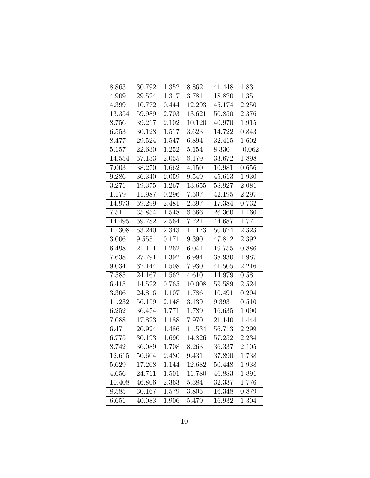| 8.863              | 30.792 | $\overline{1.352}$ | 8.862              | 41.448 | 1.831    |
|--------------------|--------|--------------------|--------------------|--------|----------|
| 4.909              | 29.524 | 1.317              | 3.781              | 18.820 | 1.351    |
| 4.399              | 10.772 | 0.444              | 12.293             | 45.174 | 2.250    |
| 13.354             | 59.989 | 2.703              | 13.621             | 50.850 | 2.376    |
| 8.756              | 39.217 | 2.102              | 10.120             | 40.970 | 1.915    |
| $6.55\overline{3}$ | 30.128 | 1.517              | 3.623              | 14.722 | 0.843    |
| 8.477              | 29.524 | 1.547              | 6.894              | 32.415 | 1.602    |
| 5.157              | 22.630 | 1.252              | $5.15\overline{4}$ | 8.330  | $-0.062$ |
| 14.554             | 57.133 | 2.055              | 8.179              | 33.672 | 1.898    |
| 7.003              | 38.270 | 1.662              | 4.150              | 10.981 | 0.656    |
| 9.286              | 36.340 | 2.059              | 9.549              | 45.613 | 1.930    |
| 3.271              | 19.375 | 1.267              | 13.655             | 58.927 | 2.081    |
| 1.179              | 11.987 | 0.296              | 7.507              | 42.195 | 2.297    |
| 14.973             | 59.299 | 2.481              | 2.397              | 17.384 | 0.732    |
| 7.511              | 35.854 | 1.548              | 8.566              | 26.360 | 1.160    |
| 14.495             | 59.782 | 2.564              | 7.721              | 44.687 | 1.771    |
| 10.308             | 53.240 | 2.343              | 11.173             | 50.624 | 2.323    |
| 3.006              | 9.555  | 0.171              | 9.390              | 47.812 | 2.392    |
| 6.498              | 21.111 | 1.262              | 6.041              | 19.755 | 0.886    |
| 7.638              | 27.791 | 1.392              | 6.994              | 38.930 | 1.987    |
| 9.034              | 32.144 | 1.508              | 7.930              | 41.505 | 2.216    |
| 7.585              | 24.167 | 1.562              | 4.610              | 14.979 | 0.581    |
| 6.415              | 14.522 | 0.765              | 10.008             | 59.589 | 2.524    |
| 3.306              | 24.816 | 1.107              | 1.786              | 10.491 | 0.294    |
| 11.232             | 56.159 | 2.148              | 3.139              | 9.393  | 0.510    |
| 6.252              | 36.474 | 1.771              | 1.789              | 16.635 | 1.090    |
| 7.088              | 17.823 | 1.188              | 7.970              | 21.140 | 1.444    |
| 6.471              | 20.924 | 1.486              | 11.534             | 56.713 | 2.299    |
| 6.775              | 30.193 | 1.690              | 14.826             | 57.252 | 2.234    |
| 8.742              | 36.089 | 1.708              | 8.263              | 36.337 | 2.105    |
| 12.615             | 50.604 | 2.480              | 9.431              | 37.890 | 1.738    |
| 5.629              | 17.208 | 1.144              | 12.682             | 50.448 | 1.938    |
| 4.656              | 24.711 | 1.501              | 11.780             | 46.883 | 1.891    |
| 10.408             | 46.806 | 2.363              | 5.384              | 32.337 | 1.776    |
| 8.585              | 30.167 | 1.579              | 3.805              | 16.348 | 0.879    |
| 6.651              | 40.083 | 1.906              | 5.479              | 16.932 | 1.304    |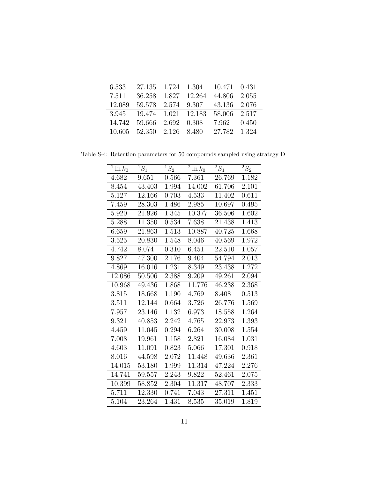| 6.533  | 27.135 | 1.724 | 1.304    | 10.471 | 0.431 |
|--------|--------|-------|----------|--------|-------|
| 7.511  | 36.258 | 1.827 | 12.264   | 44.806 | 2.055 |
| 12.089 | 59.578 | 2.574 | 9.307    | 43.136 | 2.076 |
| 3.945  | 19.474 | 1.021 | - 12.183 | 58.006 | 2.517 |
| 14.742 | 59.666 | 2.692 | 0.308    | 7.962  | 0.450 |
| 10.605 | 52.350 | 2.126 | 8.480    | 27.782 | 1.324 |

Table S-4: Retention parameters for 50 compounds sampled using strategy D

| $\overline{1} \ln k_0$ | $\overline{^1S_1}$ | $\overline{^1S_2}$ | $\overline{2} \ln k_0$ | $\overline{^2S_1}$ | $2S_2$ |
|------------------------|--------------------|--------------------|------------------------|--------------------|--------|
| 4.682                  | 9.651              | 0.566              | 7.361                  | 26.769             | 1.182  |
| 8.454                  | 43.403             | 1.994              | 14.002                 | 61.706             | 2.101  |
| 5.127                  | 12.166             | 0.703              | 4.533                  | 11.402             | 0.611  |
| 7.459                  | 28.303             | 1.486              | 2.985                  | 10.697             | 0.495  |
| 5.920                  | 21.926             | 1.345              | 10.377                 | 36.506             | 1.602  |
| 5.288                  | 11.350             | 0.534              | 7.638                  | 21.438             | 1.413  |
| 6.659                  | 21.863             | 1.513              | 10.887                 | 40.725             | 1.668  |
| 3.525                  | 20.830             | 1.548              | 8.046                  | 40.569             | 1.972  |
| 4.742                  | 8.074              | 0.310              | 6.451                  | 22.510             | 1.057  |
| 9.827                  | 47.300             | 2.176              | 9.404                  | 54.794             | 2.013  |
| 4.869                  | 16.016             | 1.231              | 8.349                  | 23.438             | 1.272  |
| 12.086                 | 50.506             | 2.388              | 9.209                  | 49.261             | 2.094  |
| 10.968                 | 49.436             | 1.868              | 11.776                 | 46.238             | 2.368  |
| 3.815                  | 18.668             | 1.190              | 4.769                  | 8.408              | 0.513  |
| 3.511                  | 12.144             | 0.664              | 3.726                  | 26.776             | 1.569  |
| 7.957                  | 23.146             | 1.132              | 6.973                  | 18.558             | 1.264  |
| 9.321                  | 40.853             | 2.242              | 4.765                  | 22.973             | 1.393  |
| 4.459                  | 11.045             | 0.294              | 6.264                  | 30.008             | 1.554  |
| 7.008                  | 19.961             | 1.158              | 2.821                  | 16.084             | 1.031  |
| 4.603                  | 11.091             | 0.823              | 5.066                  | 17.301             | 0.918  |
| 8.016                  | 44.598             | 2.072              | 11.448                 | 49.636             | 2.361  |
| 14.015                 | 53.180             | 1.999              | 11.314                 | 47.224             | 2.276  |
| 14.741                 | 59.557             | 2.243              | 9.822                  | 52.461             | 2.075  |
| 10.399                 | 58.852             | 2.304              | 11.317                 | 48.707             | 2.333  |
| 5.711                  | 12.330             | 0.741              | 7.043                  | 27.311             | 1.451  |
| 5.104                  | 23.264             | 1.431              | 8.535                  | 35.019             | 1.819  |